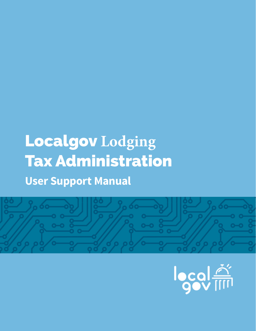# Localgov **Lodging** Tax Administration **User Support Manual**



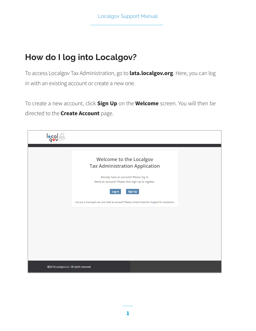# **How do I log into Localgov?**

To access Localgov Tax Administration, go to **lata.localgov.org**. Here, you can log in with an existing account or create a new one.

To create a new account, click **Sign Up** on the **Welcome** screen. You will then be directed to the **Create Account** page.

| leq                                      |                                                                                                                                                                          |  |
|------------------------------------------|--------------------------------------------------------------------------------------------------------------------------------------------------------------------------|--|
|                                          | <b>Welcome to the Localgov</b><br><b>Tax Administration Application</b><br>Already have an account? Please log in.<br>Need an account? Please click Sign Up to register. |  |
|                                          | Sign Up<br>Log In<br>Are you a municipal user and need an account? Please contact Customer Support for assistance.                                                       |  |
|                                          |                                                                                                                                                                          |  |
| @2018 Localgov LLC. All rights reserved. |                                                                                                                                                                          |  |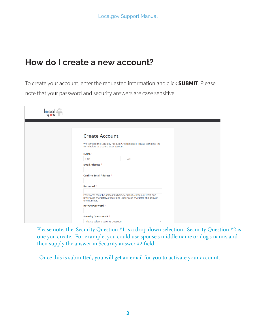#### **How do I create a new account?**

To create your account, enter the requested information and click **SUBMIT**. Please note that your password and security answers are case sensitive.

| <b>local</b> <sup>24</sup> |                                                                                                                                                           |
|----------------------------|-----------------------------------------------------------------------------------------------------------------------------------------------------------|
|                            |                                                                                                                                                           |
|                            | <b>Create Account</b>                                                                                                                                     |
|                            | Welcome to the Localgov Account Creation page. Please complete the<br>form below to create a user account.                                                |
|                            | NAME *                                                                                                                                                    |
|                            | First<br>Last                                                                                                                                             |
|                            | <b>Email Address *</b>                                                                                                                                    |
|                            | <b>Confirm Email Address *</b>                                                                                                                            |
|                            | Password *                                                                                                                                                |
|                            | Passwords must be at least 8 characters long, contain at least one<br>lower case character, at least one upper case character and at least<br>one number. |
|                            | Retype Password *                                                                                                                                         |
|                            | Security Question #1 *                                                                                                                                    |
|                            | Please select a security question<br>$\boldsymbol{\mathrm{v}}$                                                                                            |

Please note, the Security Question #1 is a drop down selection. Security Question #2 is one you create. For example, you could use spouse's middle name or dog's name, and then supply the answer in Security answer #2 field.

Once this is submitted, you will get an email for you to activate your account.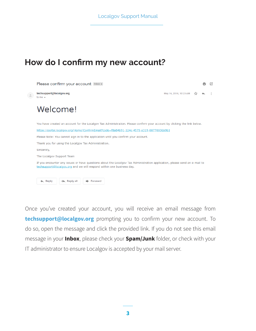#### **How do I confirm my new account?**

| Please confirm your account Inbox x                                                                                                                                                                |                        |  |  |
|----------------------------------------------------------------------------------------------------------------------------------------------------------------------------------------------------|------------------------|--|--|
| techsupport@localgov.org<br>to me $\sim$                                                                                                                                                           | May 16, 2018, 10:23 AM |  |  |
| Welcome!                                                                                                                                                                                           |                        |  |  |
| You have created an account for the Localgov Tax Administration. Please confirm your account by clicking the link below.                                                                           |                        |  |  |
| https://portal.localgov.org/Home/ConfirmEmail?code=f8a84b91-124c-4575-a319-88770036b9b1                                                                                                            |                        |  |  |
| Please Note: You cannot sign in to the application until you confirm your account.                                                                                                                 |                        |  |  |
| Thank you for using the Localgov Tax Administration.                                                                                                                                               |                        |  |  |
| Sincerely,                                                                                                                                                                                         |                        |  |  |
| The Localgov Support Team                                                                                                                                                                          |                        |  |  |
| If you encounter any issues or have questions about the Localgov Tax Administration application, please send an e-mail to<br>techsupport@localgov.org and we will respond within one business day. |                        |  |  |
| Reply<br><b>Keply all</b><br>Forward                                                                                                                                                               |                        |  |  |

Once you've created your account, you will receive an email message from **techsupport@localgov.org** prompting you to confirm your new account. To do so, open the message and click the provided link. If you do not see this email message in your **Inbox**, please check your **Spam/Junk** folder, or check with your IT administrator to ensure Localgov is accepted by your mail server.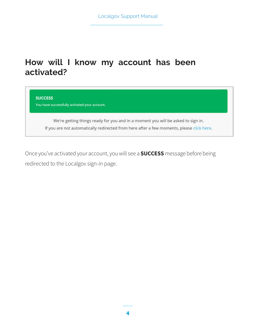#### **How will I know my account has been activated?**

**SUCCESS** You have successfully activated your account.

> We're getting things ready for you and in a moment you will be asked to sign in. If you are not automatically redirected from here after a few moments, please click here.

Once you've activated your account, you will see a **SUCCESS** message before being redirected to the Localgov sign-in page.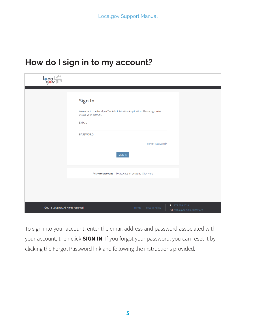#### **How do I sign in to my account?**

| local <sup>24</sup>                  |                                                                                                                                                                                       |
|--------------------------------------|---------------------------------------------------------------------------------------------------------------------------------------------------------------------------------------|
|                                      | Sign In<br>Welcome to the Localgov Tax Administration Application. Please sign in to<br>access your account.<br><b>EMAIL</b><br><b>PASSWORD</b><br>Forgot Password?<br><b>SIGN IN</b> |
|                                      | Activate Account To activate an account, Click Here                                                                                                                                   |
| ©2018 Localgov. All rights reserved. | $\frac{1}{2}$ 877-654-0021<br><b>Privacy Policy</b><br>Terms<br>◘ techsupport@localgov.org                                                                                            |

To sign into your account, enter the email address and password associated with your account, then click **SIGN IN**. If you forgot your password, you can reset it by clicking the Forgot Password link and following the instructions provided.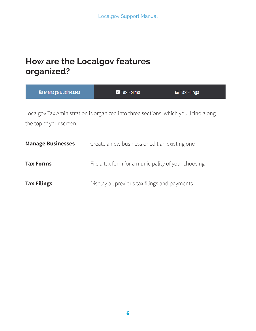# **How are the Localgov features organized?**

| <b>Hanage Businesses</b> | <b>自</b> Tax Forms                                                                   | $\Box$ Tax Filings |
|--------------------------|--------------------------------------------------------------------------------------|--------------------|
| the top of your screen:  | Localgov Tax Aministration is organized into three sections, which you'll find along |                    |
| <b>Manage Businesses</b> | Create a new business or edit an existing one                                        |                    |
| <b>Tax Forms</b>         | File a tax form for a municipality of your choosing                                  |                    |
| <b>Tax Filings</b>       | Display all previous tax filings and payments                                        |                    |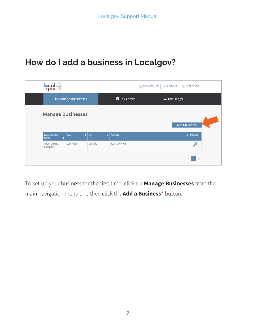# **How do I add a business in Localgov?**

| <u>locales</u>                     |                          |                   | <b>AMY ACCOUNT</b><br>O USER GUIDE<br><b>E</b> >LOGOUT |                       |  |
|------------------------------------|--------------------------|-------------------|--------------------------------------------------------|-----------------------|--|
|                                    | <b>Hanage Businesses</b> |                   | <b>E</b> Tax Forms                                     | <b>△ Tax Filings</b>  |  |
|                                    | <b>Manage Businesses</b> |                   |                                                        | <b>ADD A BUSINESS</b> |  |
| <b>Legal Business</b><br>Name<br>٠ | <b>DBA</b><br>ا ډ        | City<br>$\bullet$ | <b>Address</b>                                         | Manage<br>٠           |  |
| <b>Thain Dining</b><br>Company     | Cafe Thain               | Cityville         | 123 Favorite St                                        | c                     |  |
|                                    |                          |                   |                                                        | $\langle 1 \rangle$   |  |

To set up your business for the first time, click on **Manage Businesses** from the main navigation menu and then click the **Add a Business\*** button.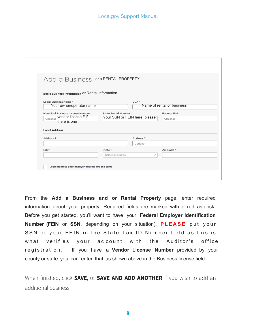#### Localgov Support Manual

| Add a Business or a RENTAL PROPERTY                                         |                                                        |                                     |
|-----------------------------------------------------------------------------|--------------------------------------------------------|-------------------------------------|
| <b>Basic Business Information Or Rental information</b>                     |                                                        |                                     |
| <b>Legal Business Name*</b><br>Your owner/operator name                     |                                                        | DBA *<br>Name of rental or business |
| <b>Municipal Business License Number</b><br>vendor license # if<br>Optional | State Tax Id Number *<br>Your SSN or FEIN here please! | <b>Federal EIN</b>                  |
| there is one<br><b>Local Address</b>                                        |                                                        | Optional                            |
| Address 1 *                                                                 |                                                        | Address <sub>2</sub>                |
|                                                                             |                                                        | Optional                            |
| City *                                                                      | State *<br>Select an Option                            | Zip Code *<br>$\checkmark$          |

From the **Add a Business and or Rental Property** page, enter required information about your property. Required fields are marked with a red asterisk. Before you get started, you'll want to have your **Federal Employer Identification Number (FEIN** or **SSN**, depending on your situation). **P LEAS E** put y our SSN or your FEIN in the State Tax ID Number field as this is what verifies your account with the Auditor's office r egistration. If you have a **Vendor License Number** provided by your county or state you can enter that as shown above in the Business license field.

When finished, click **SAVE**, or **SAVE AND ADD ANOTHER** if you wish to add an additional business.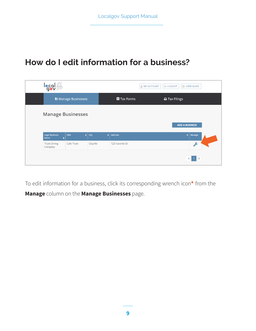# **How do I edit information for a business?**

| local <sup>**</sup>                |                            |                   |                    | <b>MY ACCOUNT</b><br><b>E</b> >LOGOUT<br><b>O</b> USER GUIDE |
|------------------------------------|----------------------------|-------------------|--------------------|--------------------------------------------------------------|
|                                    | <b>H</b> Manage Businesses |                   | <b>自 Tax Forms</b> | △ Tax Filings                                                |
| <b>Manage Businesses</b>           |                            |                   |                    | <b>ADD A BUSINESS</b>                                        |
| <b>Legal Business</b><br>Name<br>٠ | <b>DBA</b><br>$\bullet$    | City<br>$\bullet$ | Address            | ٠<br>Manage                                                  |
| <b>Thain Dining</b><br>Company     | Cafe Thain                 | Cityville         | 123 Favorite St    | $\mathcal{L}$                                                |
|                                    |                            |                   |                    | $\langle$ 1 $\rangle$                                        |

To edit information for a business, click its corresponding wrench icon**\*** from the **Manage** column on the **Manage Businesses** page.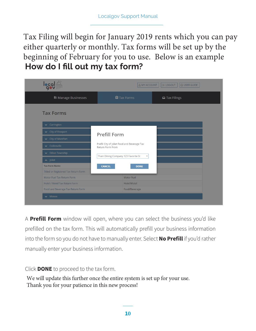**How do I fill out my tax form?** Tax Filing will begin for January 2019 rents which you can pay either quarterly or monthly. Tax forms will be set up by the beginning of February for you to use. Below is an example

| <b>local</b>                         | <b>MY ACCOUNT</b>                                                | <b>E</b> LOGOUT<br><b>O USER GUIDE</b> |
|--------------------------------------|------------------------------------------------------------------|----------------------------------------|
| <b>Hanage Businesses</b>             | <b>E</b> Tax Forms                                               | <b>△</b> Tax Filings                   |
| <b>Tax Forms</b>                     |                                                                  |                                        |
| $\blacktriangleright$ Carrington     |                                                                  |                                        |
| ← City of Freeport                   | <b>Prefill Form</b>                                              |                                        |
| ← City of Montfort                   |                                                                  |                                        |
| v Collinsville                       | Prefill City of Joliet Food and Beverage Tax<br>Return Form From |                                        |
| ← Dillon Township                    |                                                                  |                                        |
| A Joliet                             | Thain Dining Company 123 Favorite St<br>$\overline{\mathbf v}$   |                                        |
| <b>Tax Form Name</b>                 | <b>CANCEL</b><br><b>DONE</b>                                     |                                        |
| Titled or Registered Tax Return Form |                                                                  |                                        |
| Motor Fuel Tax Return Form           | Motor Fuel                                                       |                                        |
|                                      |                                                                  |                                        |
| Hotel / Motel Tax Return Form        | Hotel/Motel                                                      |                                        |

A **Prefill Form** window will open, where you can select the business you'd like prefilled on the tax form. This will automatically prefill your business information into the form so you do not have to manually enter. Select **No Prefill** if you'd rather manually enter your business information.

Click **DONE** to proceed to the tax form.

We will update this further once the entire system is set up for your use. Thank you for your patience in this new process!